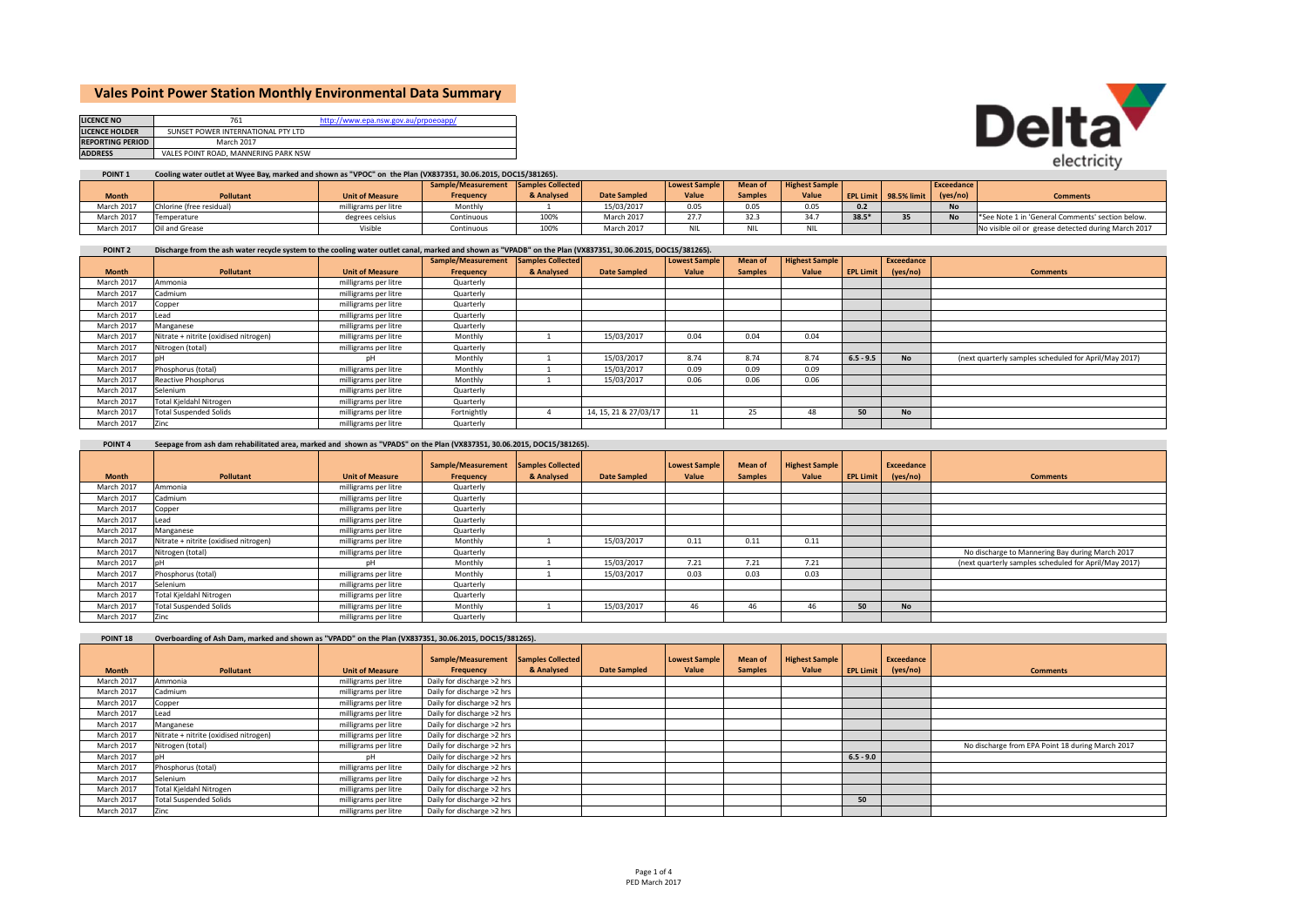# **Vales Point Power Station Monthly Environmental Data Summary**

| <b>LICENCE NO</b>       | 761                                  | http://www.epa.nsw.gov.au/prpoeoapp/ |
|-------------------------|--------------------------------------|--------------------------------------|
| <b>LICENCE HOLDER</b>   | SUNSET POWER INTERNATIONAL PTY LTD   |                                      |
| <b>REPORTING PERIOD</b> | March 2017                           |                                      |
| <b>ADDRESS</b>          | VALES POINT ROAD, MANNERING PARK NSW |                                      |



## POINT 1 Cooling water outlet at Wyee Bay, marked and shown as "VPOC" on the Plan (VX837351, 30.06.2015, DOC15/381265).

|              |                          |                        | Sample/Measurement Samples Collected |            |                     | <b>Lowest Sample</b> | Mean o         | <b>Highest Sample</b> |         |                       | Exceedance |                                                     |
|--------------|--------------------------|------------------------|--------------------------------------|------------|---------------------|----------------------|----------------|-----------------------|---------|-----------------------|------------|-----------------------------------------------------|
| <b>Month</b> | <b>Pollutant</b>         | <b>Unit of Measure</b> | Frequency                            | & Analysed | <b>Date Sampled</b> | Value                | <b>Samples</b> | Value                 |         | EPL Limit 98.5% limit | (yes/no)   | <b>Comments</b>                                     |
| March 2017   | Chlorine (free residual) | milligrams per litre   | Monthly                              |            | 15/03/2017          | 0.05                 | 0.05           | 0.05                  |         |                       |            |                                                     |
| March 2017   | Temperature              | degrees celsius        | Continuous                           | 100%       | March 2017          | $27 -$<br>21.7       | 32.3           | 24.7                  | $38.5*$ |                       |            | See Note 1 in 'General Comments' section below.     |
| March 2017   | Oil and Grease           | Visible                | Continuous                           | 100%       | March 2017          | <b>NIL</b>           |                |                       |         |                       |            | No visible oil or grease detected during March 2017 |

| <b>POINT 2</b> | Discharge from the ash water recycle system to the cooling water outlet canal, marked and shown as "VPADB" on the Plan (VX837351, 30.06.2015, DOC15/381265). |  |
|----------------|--------------------------------------------------------------------------------------------------------------------------------------------------------------|--|
|----------------|--------------------------------------------------------------------------------------------------------------------------------------------------------------|--|

|              |                                       |                        | Sample/Measurement | Samples Collected |                       | <b>Lowest Sample</b> | <b>Mean of</b> | <b>Highest Sample</b> |                  | Exceedance |                                                       |
|--------------|---------------------------------------|------------------------|--------------------|-------------------|-----------------------|----------------------|----------------|-----------------------|------------------|------------|-------------------------------------------------------|
| <b>Month</b> | Pollutant                             | <b>Unit of Measure</b> | Frequency          | & Analysed        | <b>Date Sampled</b>   | Value                | <b>Samples</b> | Value                 | <b>EPL Limit</b> | (yes/no)   | <b>Comments</b>                                       |
| March 2017   | Ammonia                               | milligrams per litre   | Quarterly          |                   |                       |                      |                |                       |                  |            |                                                       |
| March 2017   | Cadmium                               | milligrams per litre   | Quarterly          |                   |                       |                      |                |                       |                  |            |                                                       |
| March 2017   | Copper                                | milligrams per litre   | Quarterly          |                   |                       |                      |                |                       |                  |            |                                                       |
| March 2017   | Lead                                  | milligrams per litre   | Quarterly          |                   |                       |                      |                |                       |                  |            |                                                       |
| March 2017   | Manganese                             | milligrams per litre   | Quarterly          |                   |                       |                      |                |                       |                  |            |                                                       |
| March 2017   | Nitrate + nitrite (oxidised nitrogen) | milligrams per litre   | Monthly            |                   | 15/03/2017            | 0.04                 | 0.04           | 0.04                  |                  |            |                                                       |
| March 2017   | Nitrogen (total)                      | milligrams per litre   | Quarterly          |                   |                       |                      |                |                       |                  |            |                                                       |
| March 2017   |                                       | пH                     | Monthly            |                   | 15/03/2017            | 8.74                 | 8.74           | 8.74                  | $6.5 - 9.5$      | <b>No</b>  | (next quarterly samples scheduled for April/May 2017) |
| March 2017   | Phosphorus (total)                    | milligrams per litre   | Monthly            |                   | 15/03/2017            | 0.09                 | 0.09           | 0.09                  |                  |            |                                                       |
| March 2017   | Reactive Phosphorus                   | milligrams per litre   | Monthly            |                   | 15/03/2017            | 0.06                 | 0.06           | 0.06                  |                  |            |                                                       |
| March 2017   | Selenium                              | milligrams per litre   | Quarterly          |                   |                       |                      |                |                       |                  |            |                                                       |
| March 2017   | Total Kjeldahl Nitrogen               | milligrams per litre   | Quarterly          |                   |                       |                      |                |                       |                  |            |                                                       |
| March 2017   | <b>Total Suspended Solids</b>         | milligrams per litre   | Fortnightly        |                   | 14, 15, 21 & 27/03/17 | 11                   | 25             | 48                    | 50               | <b>No</b>  |                                                       |
| March 2017   | Zinc                                  | milligrams per litre   | Quarterly          |                   |                       |                      |                |                       |                  |            |                                                       |

### POINT 4 Seepage from ash dam rehabilitated area, marked and shown as "VPADS" on the Plan (VX837351, 30.06.2015, DOC15/381265).

|              |                                       |                        | Sample/Measurement | Samples Collected |                     | Lowest Sample | <b>Mean of</b> | <b>Highest Sample</b> |                  | Exceedance |                                                       |
|--------------|---------------------------------------|------------------------|--------------------|-------------------|---------------------|---------------|----------------|-----------------------|------------------|------------|-------------------------------------------------------|
| <b>Month</b> | Pollutant                             | <b>Unit of Measure</b> | Frequency          | & Analysed        | <b>Date Sampled</b> | Value         | <b>Samples</b> | Value                 | <b>EPL Limit</b> | (yes/no)   | <b>Comments</b>                                       |
| March 2017   | Ammonia                               | milligrams per litre   | Quarterly          |                   |                     |               |                |                       |                  |            |                                                       |
| March 2017   | Cadmium                               | milligrams per litre   | Quarterly          |                   |                     |               |                |                       |                  |            |                                                       |
| March 2017   | Copper                                | milligrams per litre   | Quarterly          |                   |                     |               |                |                       |                  |            |                                                       |
| March 2017   | read.                                 | milligrams per litre   | Quarterly          |                   |                     |               |                |                       |                  |            |                                                       |
| March 2017   | Manganese                             | milligrams per litre   | Quarterly          |                   |                     |               |                |                       |                  |            |                                                       |
| March 2017   | Nitrate + nitrite (oxidised nitrogen) | milligrams per litre   | Monthly            |                   | 15/03/2017          | 0.11          | 0.11           | 0.11                  |                  |            |                                                       |
| March 2017   | Nitrogen (total)                      | milligrams per litre   | Quarterly          |                   |                     |               |                |                       |                  |            | No discharge to Mannering Bay during March 2017       |
| March 2017   |                                       | nF                     | Monthly            |                   | 15/03/2017          | 7.21          | 7.21           | 7.21                  |                  |            | (next quarterly samples scheduled for April/May 2017) |
| March 2017   | Phosphorus (total)                    | milligrams per litre   | Monthly            |                   | 15/03/2017          | 0.03          | 0.03           | 0.03                  |                  |            |                                                       |
| March 2017   | Selenium                              | milligrams per litre   | Quarterly          |                   |                     |               |                |                       |                  |            |                                                       |
| March 2017   | Total Kjeldahl Nitrogen               | milligrams per litre   | Quarterly          |                   |                     |               |                |                       |                  |            |                                                       |
| March 2017   | <b>Total Suspended Solids</b>         | milligrams per litre   | Monthly            |                   | 15/03/2017          | 46            | 46             | 46                    | 50               | <b>No</b>  |                                                       |
| March 2017   | Zinc                                  | milligrams per litre   | Quarterly          |                   |                     |               |                |                       |                  |            |                                                       |

| Overboarding of Ash Dam, marked and shown as "VPADD" on the Plan (VX837351, 30.06.2015, DOC15/381265).<br>POINT <sub>18</sub> |                                       |                        |                                 |                                        |                     |                        |                                  |                                |             |                        |                                                  |
|-------------------------------------------------------------------------------------------------------------------------------|---------------------------------------|------------------------|---------------------------------|----------------------------------------|---------------------|------------------------|----------------------------------|--------------------------------|-------------|------------------------|--------------------------------------------------|
| <b>Month</b>                                                                                                                  | Pollutant                             | <b>Unit of Measure</b> | Sample/Measurement<br>Frequency | <b>Samples Collected</b><br>& Analysed | <b>Date Sampled</b> | Lowest Sample<br>Value | <b>Mean of</b><br><b>Samples</b> | <b>Highest Sample</b><br>Value | EPL Limit   | Exceedance<br>(yes/no) | <b>Comments</b>                                  |
|                                                                                                                               |                                       |                        |                                 |                                        |                     |                        |                                  |                                |             |                        |                                                  |
| March 2017                                                                                                                    | Ammonia                               | milligrams per litre   | Daily for discharge >2 hrs      |                                        |                     |                        |                                  |                                |             |                        |                                                  |
| March 2017                                                                                                                    | Cadmium                               | milligrams per litre   | Daily for discharge >2 hrs      |                                        |                     |                        |                                  |                                |             |                        |                                                  |
| March 2017                                                                                                                    | Copper                                | milligrams per litre   | Daily for discharge >2 hrs      |                                        |                     |                        |                                  |                                |             |                        |                                                  |
| March 2017                                                                                                                    | Lead                                  | milligrams per litre   | Daily for discharge >2 hrs      |                                        |                     |                        |                                  |                                |             |                        |                                                  |
| March 2017                                                                                                                    | Manganese                             | milligrams per litre   | Daily for discharge >2 hrs      |                                        |                     |                        |                                  |                                |             |                        |                                                  |
| March 2017                                                                                                                    | Nitrate + nitrite (oxidised nitrogen) | milligrams per litre   | Daily for discharge >2 hrs      |                                        |                     |                        |                                  |                                |             |                        |                                                  |
| March 2017                                                                                                                    | Nitrogen (total)                      | milligrams per litre   | Daily for discharge >2 hrs      |                                        |                     |                        |                                  |                                |             |                        | No discharge from EPA Point 18 during March 2017 |
| March 2017                                                                                                                    |                                       |                        | Daily for discharge >2 hrs      |                                        |                     |                        |                                  |                                | $6.5 - 9.0$ |                        |                                                  |
| March 2017                                                                                                                    | Phosphorus (total)                    | milligrams per litre   | Daily for discharge >2 hrs      |                                        |                     |                        |                                  |                                |             |                        |                                                  |
| March 2017                                                                                                                    | Selenium                              | milligrams per litre   | Daily for discharge >2 hrs      |                                        |                     |                        |                                  |                                |             |                        |                                                  |
| March 2017                                                                                                                    | Total Kjeldahl Nitrogen               | milligrams per litre   | Daily for discharge >2 hrs      |                                        |                     |                        |                                  |                                |             |                        |                                                  |
| March 2017                                                                                                                    | <b>Total Suspended Solids</b>         | milligrams per litre   | Daily for discharge >2 hrs      |                                        |                     |                        |                                  |                                | 50          |                        |                                                  |
| March 2017                                                                                                                    | Zinc                                  | milligrams per litre   | Daily for discharge >2 hrs      |                                        |                     |                        |                                  |                                |             |                        |                                                  |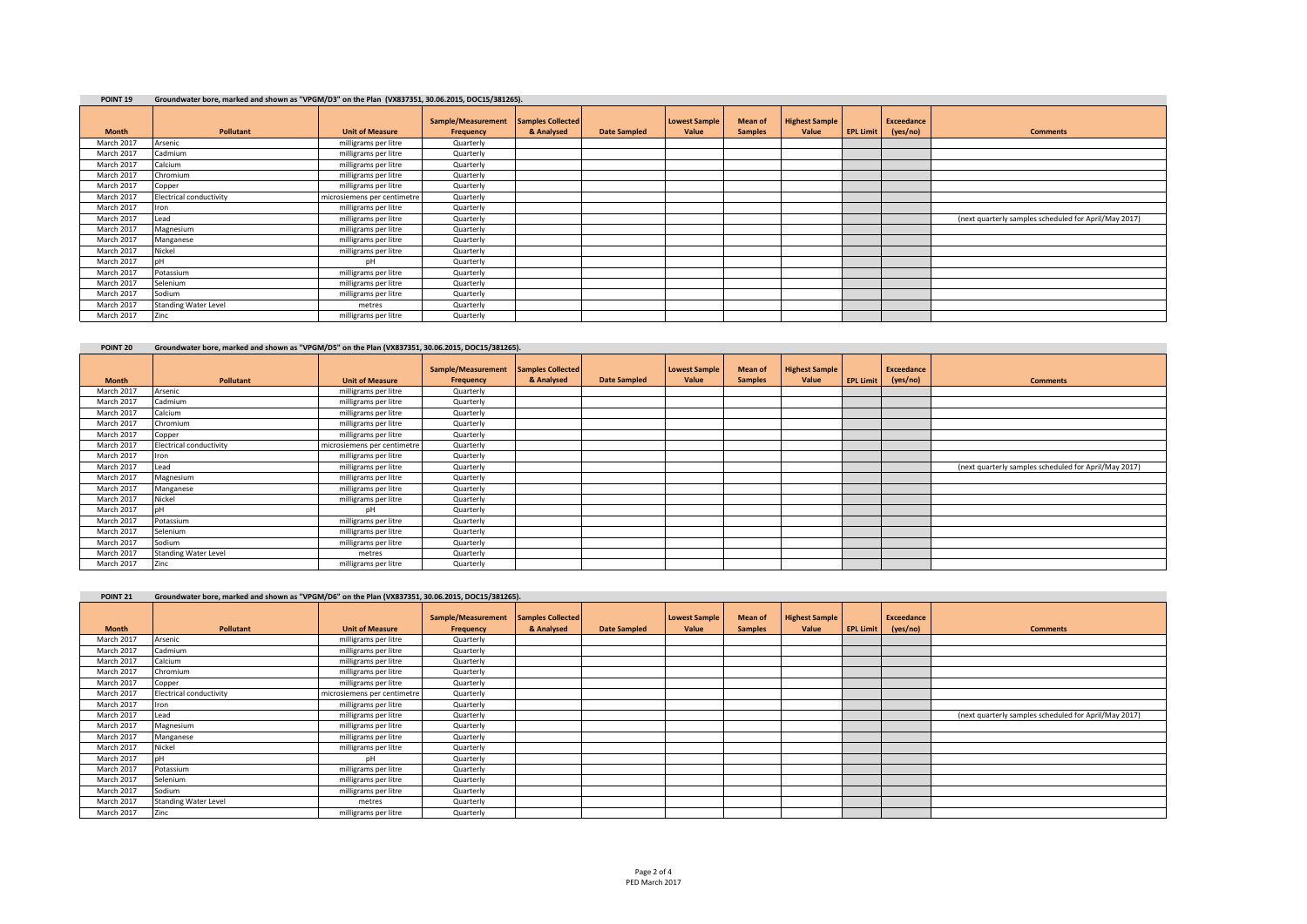| Groundwater bore, marked and shown as "VPGM/D3" on the Plan (VX837351, 30.06.2015, DOC15/381265).<br>POINT <sub>19</sub> |                                |                             |                                 |                                        |                     |                               |                                  |                                |                  |                               |                                                       |
|--------------------------------------------------------------------------------------------------------------------------|--------------------------------|-----------------------------|---------------------------------|----------------------------------------|---------------------|-------------------------------|----------------------------------|--------------------------------|------------------|-------------------------------|-------------------------------------------------------|
| <b>Month</b>                                                                                                             | Pollutant                      | <b>Unit of Measure</b>      | Sample/Measurement<br>Frequency | <b>Samples Collected</b><br>& Analysed | <b>Date Sampled</b> | <b>Lowest Sample</b><br>Value | <b>Mean of</b><br><b>Samples</b> | <b>Highest Sample</b><br>Value | <b>EPL Limit</b> | <b>Exceedance</b><br>(yes/no) | <b>Comments</b>                                       |
| March 2017                                                                                                               | Arsenic                        | milligrams per litre        | Quarterly                       |                                        |                     |                               |                                  |                                |                  |                               |                                                       |
| March 2017                                                                                                               | Cadmium                        | milligrams per litre        | Quarterly                       |                                        |                     |                               |                                  |                                |                  |                               |                                                       |
| March 2017                                                                                                               | Calcium                        | milligrams per litre        | Quarterly                       |                                        |                     |                               |                                  |                                |                  |                               |                                                       |
| March 2017                                                                                                               | Chromium                       | milligrams per litre        | Quarterly                       |                                        |                     |                               |                                  |                                |                  |                               |                                                       |
| March 2017                                                                                                               | Copper                         | milligrams per litre        | Quarterly                       |                                        |                     |                               |                                  |                                |                  |                               |                                                       |
| March 2017                                                                                                               | <b>Electrical conductivity</b> | microsiemens per centimetre | Quarterly                       |                                        |                     |                               |                                  |                                |                  |                               |                                                       |
| March 2017                                                                                                               | Iron                           | milligrams per litre        | Quarterly                       |                                        |                     |                               |                                  |                                |                  |                               |                                                       |
| March 2017                                                                                                               | Lead                           | milligrams per litre        | Quarterly                       |                                        |                     |                               |                                  |                                |                  |                               | (next quarterly samples scheduled for April/May 2017) |
| March 2017                                                                                                               | Magnesium                      | milligrams per litre        | Quarterly                       |                                        |                     |                               |                                  |                                |                  |                               |                                                       |
| March 2017                                                                                                               | Manganese                      | milligrams per litre        | Quarterly                       |                                        |                     |                               |                                  |                                |                  |                               |                                                       |
| March 2017                                                                                                               | Nickel                         | milligrams per litre        | Quarterly                       |                                        |                     |                               |                                  |                                |                  |                               |                                                       |
| March 2017                                                                                                               |                                | nH                          | Quarterly                       |                                        |                     |                               |                                  |                                |                  |                               |                                                       |
| March 2017                                                                                                               | Potassium                      | milligrams per litre        | Quarterly                       |                                        |                     |                               |                                  |                                |                  |                               |                                                       |
| March 2017                                                                                                               | Selenium                       | milligrams per litre        | Quarterly                       |                                        |                     |                               |                                  |                                |                  |                               |                                                       |
| March 2017                                                                                                               | Sodium                         | milligrams per litre        | Quarterly                       |                                        |                     |                               |                                  |                                |                  |                               |                                                       |
| March 2017                                                                                                               | <b>Standing Water Level</b>    | metres                      | Quarterly                       |                                        |                     |                               |                                  |                                |                  |                               |                                                       |
| March 2017                                                                                                               | Zinc                           | milligrams per litre        | Quarterly                       |                                        |                     |                               |                                  |                                |                  |                               |                                                       |

| POINT <sub>20</sub> | Groundwater bore, marked and shown as "VPGM/D5" on the Plan (VX837351, 30.06.2015, DOC15/381265). |                             |                                 |                                 |                     |                               |                                  |                                |                  |                        |                                                       |  |
|---------------------|---------------------------------------------------------------------------------------------------|-----------------------------|---------------------------------|---------------------------------|---------------------|-------------------------------|----------------------------------|--------------------------------|------------------|------------------------|-------------------------------------------------------|--|
| <b>Month</b>        | Pollutant                                                                                         | <b>Unit of Measure</b>      | Sample/Measurement<br>Frequency | Samples Collected<br>& Analysed | <b>Date Sampled</b> | <b>Lowest Sample</b><br>Value | <b>Mean of</b><br><b>Samples</b> | <b>Highest Sample</b><br>Value | <b>EPL Limit</b> | Exceedance<br>(yes/no) | <b>Comments</b>                                       |  |
| March 2017          | Arsenic                                                                                           | milligrams per litre        | Quarterly                       |                                 |                     |                               |                                  |                                |                  |                        |                                                       |  |
| March 2017          | Cadmium                                                                                           | milligrams per litre        | Quarterly                       |                                 |                     |                               |                                  |                                |                  |                        |                                                       |  |
| March 2017          | Calcium                                                                                           | milligrams per litre        | Quarterly                       |                                 |                     |                               |                                  |                                |                  |                        |                                                       |  |
| March 2017          | Chromium                                                                                          | milligrams per litre        | Quarterly                       |                                 |                     |                               |                                  |                                |                  |                        |                                                       |  |
| March 2017          | Copper                                                                                            | milligrams per litre        | Quarterly                       |                                 |                     |                               |                                  |                                |                  |                        |                                                       |  |
| March 2017          | <b>Electrical conductivity</b>                                                                    | microsiemens per centimetre | Quarterly                       |                                 |                     |                               |                                  |                                |                  |                        |                                                       |  |
| March 2017          | Iron                                                                                              | milligrams per litre        | Quarterly                       |                                 |                     |                               |                                  |                                |                  |                        |                                                       |  |
| March 2017          | Lead                                                                                              | milligrams per litre        | Quarterly                       |                                 |                     |                               |                                  |                                |                  |                        | (next quarterly samples scheduled for April/May 2017) |  |
| March 2017          | Magnesium                                                                                         | milligrams per litre        | Quarterly                       |                                 |                     |                               |                                  |                                |                  |                        |                                                       |  |
| March 2017          | Manganese                                                                                         | milligrams per litre        | Quarterly                       |                                 |                     |                               |                                  |                                |                  |                        |                                                       |  |
| March 2017          | Nickel                                                                                            | milligrams per litre        | Quarterly                       |                                 |                     |                               |                                  |                                |                  |                        |                                                       |  |
| March 2017          |                                                                                                   | nH                          | Quarterly                       |                                 |                     |                               |                                  |                                |                  |                        |                                                       |  |
| March 2017          | Potassium                                                                                         | milligrams per litre        | Quarterly                       |                                 |                     |                               |                                  |                                |                  |                        |                                                       |  |
| March 2017          | Selenium                                                                                          | milligrams per litre        | Quarterly                       |                                 |                     |                               |                                  |                                |                  |                        |                                                       |  |
| March 2017          | Sodium                                                                                            | milligrams per litre        | Quarterly                       |                                 |                     |                               |                                  |                                |                  |                        |                                                       |  |
| March 2017          | <b>Standing Water Level</b>                                                                       | metres                      | Quarterly                       |                                 |                     |                               |                                  |                                |                  |                        |                                                       |  |
| March 2017          | Zinc                                                                                              | milligrams per litre        | Quarterly                       |                                 |                     |                               |                                  |                                |                  |                        |                                                       |  |

| POINT <sub>21</sub> | Groundwater bore, marked and shown as "VPGM/D6" on the Plan (VX837351, 30.06.2015, DOC15/381265). |                             |                                 |                                        |                     |                               |                                  |                                |                  |                        |                                                       |  |
|---------------------|---------------------------------------------------------------------------------------------------|-----------------------------|---------------------------------|----------------------------------------|---------------------|-------------------------------|----------------------------------|--------------------------------|------------------|------------------------|-------------------------------------------------------|--|
| <b>Month</b>        | Pollutant                                                                                         | <b>Unit of Measure</b>      | Sample/Measurement<br>Frequency | <b>Samples Collected</b><br>& Analysed | <b>Date Sampled</b> | <b>Lowest Sample</b><br>Value | <b>Mean of</b><br><b>Samples</b> | <b>Highest Sample</b><br>Value | <b>EPL Limit</b> | Exceedance<br>(yes/no) | <b>Comments</b>                                       |  |
| March 2017          | Arsenic                                                                                           | milligrams per litre        | Quarterly                       |                                        |                     |                               |                                  |                                |                  |                        |                                                       |  |
| March 2017          | Cadmium                                                                                           | milligrams per litre        | Quarterly                       |                                        |                     |                               |                                  |                                |                  |                        |                                                       |  |
| March 2017          | Calcium                                                                                           | milligrams per litre        | Quarterly                       |                                        |                     |                               |                                  |                                |                  |                        |                                                       |  |
| March 2017          | Chromium                                                                                          | milligrams per litre        | Quarterly                       |                                        |                     |                               |                                  |                                |                  |                        |                                                       |  |
| March 2017          | Copper                                                                                            | milligrams per litre        | Quarterly                       |                                        |                     |                               |                                  |                                |                  |                        |                                                       |  |
| March 2017          | <b>Electrical conductivity</b>                                                                    | microsiemens per centimetre | Quarterly                       |                                        |                     |                               |                                  |                                |                  |                        |                                                       |  |
| March 2017          | ron                                                                                               | milligrams per litre        | Quarterly                       |                                        |                     |                               |                                  |                                |                  |                        |                                                       |  |
| March 2017          | Lead                                                                                              | milligrams per litre        | Quarterly                       |                                        |                     |                               |                                  |                                |                  |                        | (next quarterly samples scheduled for April/May 2017) |  |
| March 2017          | Magnesium                                                                                         | milligrams per litre        | Quarterly                       |                                        |                     |                               |                                  |                                |                  |                        |                                                       |  |
| March 2017          | Manganese                                                                                         | milligrams per litre        | Quarterly                       |                                        |                     |                               |                                  |                                |                  |                        |                                                       |  |
| March 2017          | Nickel                                                                                            | milligrams per litre        | Quarterly                       |                                        |                     |                               |                                  |                                |                  |                        |                                                       |  |
| March 2017          |                                                                                                   | nH                          | Quarterly                       |                                        |                     |                               |                                  |                                |                  |                        |                                                       |  |
| March 2017          | Potassium                                                                                         | milligrams per litre        | Quarterly                       |                                        |                     |                               |                                  |                                |                  |                        |                                                       |  |
| March 2017          | Selenium                                                                                          | milligrams per litre        | Quarterly                       |                                        |                     |                               |                                  |                                |                  |                        |                                                       |  |
| March 2017          | Sodium                                                                                            | milligrams per litre        | Quarterly                       |                                        |                     |                               |                                  |                                |                  |                        |                                                       |  |
| March 2017          | <b>Standing Water Level</b>                                                                       | metres                      | Quarterly                       |                                        |                     |                               |                                  |                                |                  |                        |                                                       |  |
| March 2017          | Zinc                                                                                              | milligrams per litre        | Quarterly                       |                                        |                     |                               |                                  |                                |                  |                        |                                                       |  |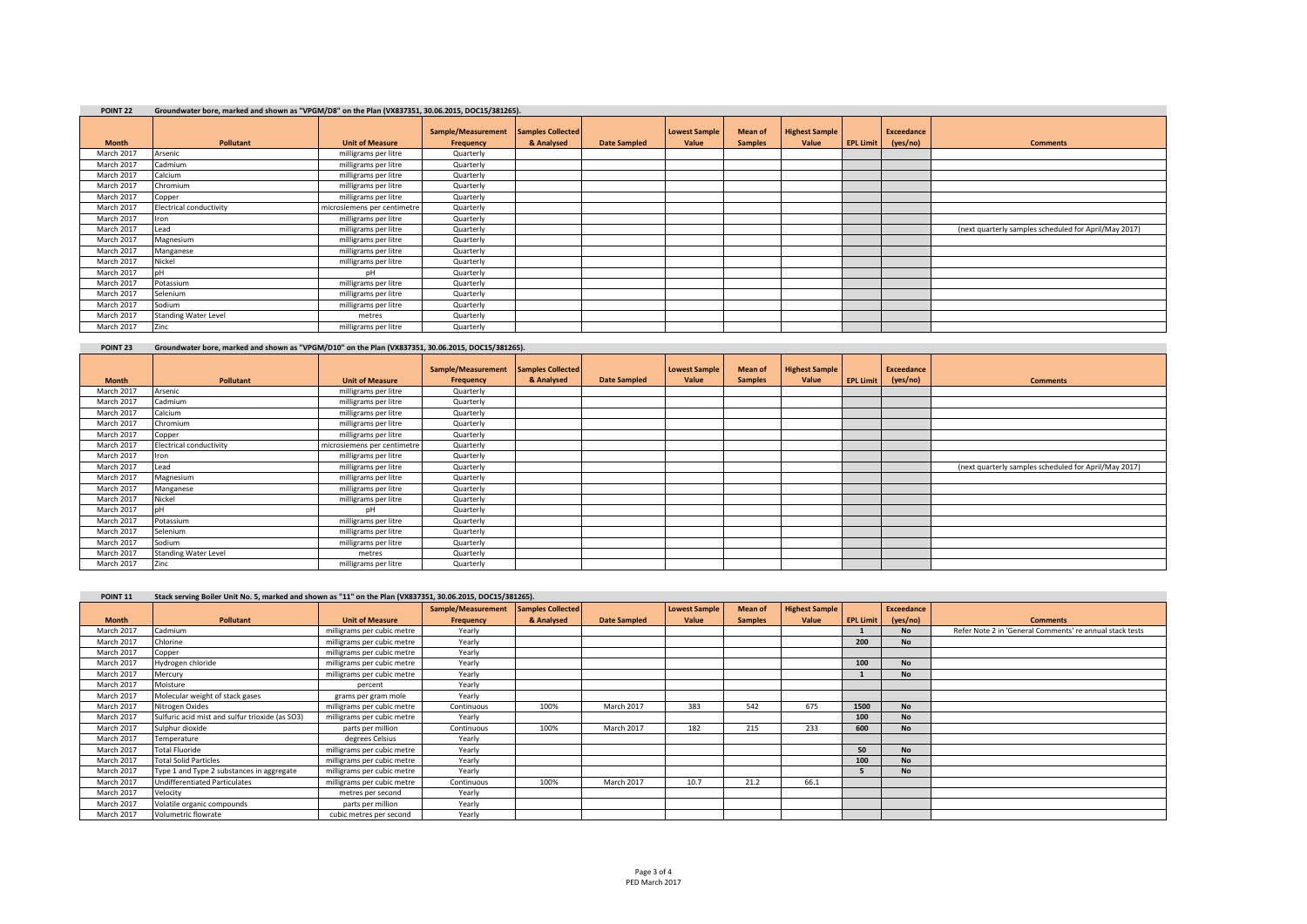### **POINT 22 Groundwater bore, marked and shown as "VPGM/D8" on the Plan (VX837351, 30.06.2015, DOC15/381265).**

| <b>FUINT LL</b> | Groundwater Dore, marked and shown as virum/Dollon the Fiam (vA037331, 30.00.2013, DOC13/301203). |                             |                                 |                                        |                     |                               |                           |                                |                  |                        |                                                       |
|-----------------|---------------------------------------------------------------------------------------------------|-----------------------------|---------------------------------|----------------------------------------|---------------------|-------------------------------|---------------------------|--------------------------------|------------------|------------------------|-------------------------------------------------------|
| <b>Month</b>    | <b>Pollutant</b>                                                                                  | <b>Unit of Measure</b>      | Sample/Measurement<br>Frequency | <b>Samples Collected</b><br>& Analysed | <b>Date Sampled</b> | <b>Lowest Sample</b><br>Value | Mean of<br><b>Samples</b> | <b>Highest Sample</b><br>Value | <b>EPL Limit</b> | Exceedance<br>(yes/no) | <b>Comments</b>                                       |
| March 2017      | Arsenic                                                                                           | milligrams per litre        | Quarterly                       |                                        |                     |                               |                           |                                |                  |                        |                                                       |
| March 2017      | Cadmium                                                                                           | milligrams per litre        | Quarterly                       |                                        |                     |                               |                           |                                |                  |                        |                                                       |
| March 2017      | Calcium                                                                                           | milligrams per litre        | Quarterly                       |                                        |                     |                               |                           |                                |                  |                        |                                                       |
| March 2017      | Chromium                                                                                          | milligrams per litre        | Quarterly                       |                                        |                     |                               |                           |                                |                  |                        |                                                       |
| March 2017      | Copper                                                                                            | milligrams per litre        | Quarterly                       |                                        |                     |                               |                           |                                |                  |                        |                                                       |
| March 2017      | <b>Electrical conductivity</b>                                                                    | microsiemens per centimetre | Quarterly                       |                                        |                     |                               |                           |                                |                  |                        |                                                       |
| March 2017      | <b>Iron</b>                                                                                       | milligrams per litre        | Quarterly                       |                                        |                     |                               |                           |                                |                  |                        |                                                       |
| March 2017      | Lead                                                                                              | milligrams per litre        | Quarterly                       |                                        |                     |                               |                           |                                |                  |                        | (next quarterly samples scheduled for April/May 2017) |
| March 2017      | Magnesium                                                                                         | milligrams per litre        | Quarterly                       |                                        |                     |                               |                           |                                |                  |                        |                                                       |
| March 2017      | Manganese                                                                                         | milligrams per litre        | Quarterly                       |                                        |                     |                               |                           |                                |                  |                        |                                                       |
| March 2017      | Nickel                                                                                            | milligrams per litre        | Quarterly                       |                                        |                     |                               |                           |                                |                  |                        |                                                       |
| March 2017      |                                                                                                   | nH                          | Quarterly                       |                                        |                     |                               |                           |                                |                  |                        |                                                       |
| March 2017      | Potassium                                                                                         | milligrams per litre        | Quarterly                       |                                        |                     |                               |                           |                                |                  |                        |                                                       |
| March 2017      | Selenium                                                                                          | milligrams per litre        | Quarterly                       |                                        |                     |                               |                           |                                |                  |                        |                                                       |
| March 2017      | Sodium                                                                                            | milligrams per litre        | Quarterly                       |                                        |                     |                               |                           |                                |                  |                        |                                                       |
| March 2017      | <b>Standing Water Level</b>                                                                       | metres                      | Quarterly                       |                                        |                     |                               |                           |                                |                  |                        |                                                       |
| March 2017      | Zinc                                                                                              | milligrams per litre        | Quarterly                       |                                        |                     |                               |                           |                                |                  |                        |                                                       |

### **POINT 23 Groundwater bore, marked and shown as "VPGM/D10" on the Plan (VX837351, 30.06.2015, DOC15/381265).**

|              |                                |                             | Sample/Measurement | Samples Collected |                     | <b>Lowest Sample</b> | <b>Mean of</b> | <b>Highest Sample</b> |                  | Exceedance |                                                       |
|--------------|--------------------------------|-----------------------------|--------------------|-------------------|---------------------|----------------------|----------------|-----------------------|------------------|------------|-------------------------------------------------------|
| <b>Month</b> | <b>Pollutant</b>               | <b>Unit of Measure</b>      | Frequency          | & Analysed        | <b>Date Sampled</b> | Value                | <b>Samples</b> | Value                 | <b>EPL Limit</b> | (yes/no)   | <b>Comments</b>                                       |
| March 2017   | Arsenic                        | milligrams per litre        | Quarterly          |                   |                     |                      |                |                       |                  |            |                                                       |
| March 2017   | Cadmium                        | milligrams per litre        | Quarterly          |                   |                     |                      |                |                       |                  |            |                                                       |
| March 2017   | Calcium                        | milligrams per litre        | Quarterly          |                   |                     |                      |                |                       |                  |            |                                                       |
| March 2017   | Chromium                       | milligrams per litre        | Quarterly          |                   |                     |                      |                |                       |                  |            |                                                       |
| March 2017   | Copper                         | milligrams per litre        | Quarterly          |                   |                     |                      |                |                       |                  |            |                                                       |
| March 2017   | <b>Electrical conductivity</b> | microsiemens per centimetre | Quarterly          |                   |                     |                      |                |                       |                  |            |                                                       |
| March 2017   | Iron                           | milligrams per litre        | Quarterly          |                   |                     |                      |                |                       |                  |            |                                                       |
| March 2017   | Lead                           | milligrams per litre        | Quarterly          |                   |                     |                      |                |                       |                  |            | (next quarterly samples scheduled for April/May 2017) |
| March 2017   | Magnesium                      | milligrams per litre        | Quarterly          |                   |                     |                      |                |                       |                  |            |                                                       |
| March 2017   | Manganese                      | milligrams per litre        | Quarterly          |                   |                     |                      |                |                       |                  |            |                                                       |
| March 2017   | Nickel                         | milligrams per litre        | Quarterly          |                   |                     |                      |                |                       |                  |            |                                                       |
| March 2017   |                                | pН                          | Quarterly          |                   |                     |                      |                |                       |                  |            |                                                       |
| March 2017   | Potassium                      | milligrams per litre        | Quarterly          |                   |                     |                      |                |                       |                  |            |                                                       |
| March 2017   | Selenium                       | milligrams per litre        | Quarterly          |                   |                     |                      |                |                       |                  |            |                                                       |
| March 2017   | Sodium                         | milligrams per litre        | Quarterly          |                   |                     |                      |                |                       |                  |            |                                                       |
| March 2017   | <b>Standing Water Level</b>    | metres                      | Quarterly          |                   |                     |                      |                |                       |                  |            |                                                       |
| March 2017   | Zinc                           | milligrams per litre        | Quarterly          |                   |                     |                      |                |                       |                  |            |                                                       |

#### POINT 11 Stack serving Boiler Unit No. 5. marked and shown as "11" on the Plan (VX837351, 30.06.2015, DOC15/381265).

| .            | state screens, bonds only not be analyzed and shown as in the man process success, bounds someon. |                            |                    |                          |                     |                      |                |                       |                  |                   |                                                          |
|--------------|---------------------------------------------------------------------------------------------------|----------------------------|--------------------|--------------------------|---------------------|----------------------|----------------|-----------------------|------------------|-------------------|----------------------------------------------------------|
|              |                                                                                                   |                            | Sample/Measurement | <b>Samples Collected</b> |                     | <b>Lowest Sample</b> | <b>Mean of</b> | <b>Highest Sample</b> |                  | <b>Exceedance</b> |                                                          |
| <b>Month</b> | Pollutant                                                                                         | <b>Unit of Measure</b>     | Frequency          | & Analysed               | <b>Date Sampled</b> | Value                | <b>Samples</b> | Value                 | <b>EPL Limit</b> | (yes/no)          | <b>Comments</b>                                          |
| March 2017   | Cadmium                                                                                           | milligrams per cubic metre | Yearly             |                          |                     |                      |                |                       |                  | <b>No</b>         | Refer Note 2 in 'General Comments' re annual stack tests |
| March 2017   | Chlorine                                                                                          | milligrams per cubic metre | Yearly             |                          |                     |                      |                |                       | 200              | <b>No</b>         |                                                          |
| March 2017   | Copper                                                                                            | milligrams per cubic metre | Yearly             |                          |                     |                      |                |                       |                  |                   |                                                          |
| March 2017   | Hydrogen chloride                                                                                 | milligrams per cubic metre | Yearly             |                          |                     |                      |                |                       | 100              | <b>No</b>         |                                                          |
| March 2017   | Mercury                                                                                           | milligrams per cubic metre | Yearly             |                          |                     |                      |                |                       |                  | <b>No</b>         |                                                          |
| March 2017   | Moisture                                                                                          | percent                    | Yearly             |                          |                     |                      |                |                       |                  |                   |                                                          |
| March 2017   | Molecular weight of stack gases                                                                   | grams per gram mole        | Yearly             |                          |                     |                      |                |                       |                  |                   |                                                          |
| March 2017   | Nitrogen Oxides                                                                                   | milligrams per cubic metre | Continuous         | 100%                     | March 2017          | 383                  | 542            | 675                   | 1500             | <b>No</b>         |                                                          |
| March 2017   | Sulfuric acid mist and sulfur trioxide (as SO3)                                                   | milligrams per cubic metre | Yearly             |                          |                     |                      |                |                       | 100              | <b>No</b>         |                                                          |
| March 2017   | Sulphur dioxide                                                                                   | parts per million          | Continuous         | 100%                     | March 2017          | 182                  | 215            | 233                   | 600              | <b>No</b>         |                                                          |
| March 2017   | Temperature                                                                                       | degrees Celsius            | Yearly             |                          |                     |                      |                |                       |                  |                   |                                                          |
| March 2017   | <b>Total Fluoride</b>                                                                             | milligrams per cubic metre | Yearly             |                          |                     |                      |                |                       | 50               | <b>No</b>         |                                                          |
| March 2017   | <b>Total Solid Particles</b>                                                                      | milligrams per cubic metre | Yearly             |                          |                     |                      |                |                       | 100              | <b>No</b>         |                                                          |
| March 2017   | Type 1 and Type 2 substances in aggregate                                                         | milligrams per cubic metre | Yearly             |                          |                     |                      |                |                       |                  | <b>No</b>         |                                                          |
| March 2017   | Undifferentiated Particulates                                                                     | milligrams per cubic metre | Continuous         | 100%                     | March 2017          | 10.7                 | 21.2           | 66.1                  |                  |                   |                                                          |
| March 2017   | Velocity                                                                                          | metres per second          | Yearly             |                          |                     |                      |                |                       |                  |                   |                                                          |
| March 2017   | Volatile organic compounds                                                                        | parts per million          | Yearly             |                          |                     |                      |                |                       |                  |                   |                                                          |
| March 2017   | Volumetric flowrate                                                                               | cubic metres per second    | Yearly             |                          |                     |                      |                |                       |                  |                   |                                                          |